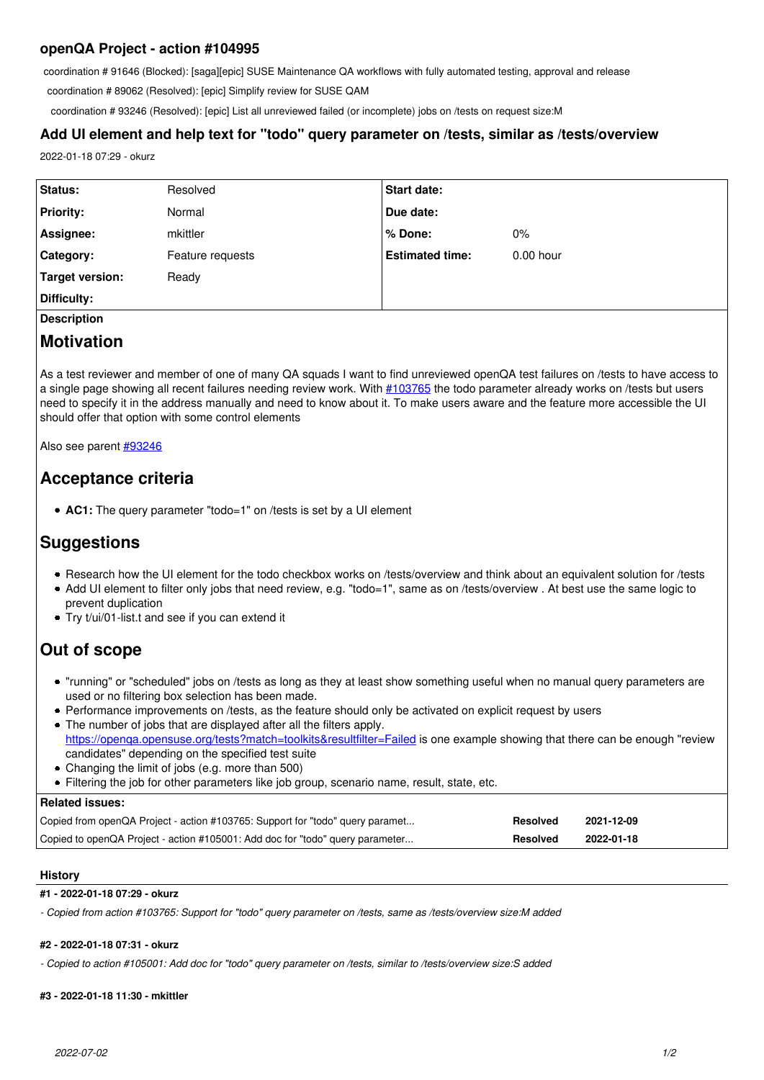## **openQA Project - action #104995**

coordination # 91646 (Blocked): [saga][epic] SUSE Maintenance QA workflows with fully automated testing, approval and release

coordination # 89062 (Resolved): [epic] Simplify review for SUSE QAM

coordination # 93246 (Resolved): [epic] List all unreviewed failed (or incomplete) jobs on /tests on request size:M

## **Add UI element and help text for "todo" query parameter on /tests, similar as /tests/overview**

2022-01-18 07:29 - okurz

| Status:          | Resolved         | <b>Start date:</b>     |             |
|------------------|------------------|------------------------|-------------|
| <b>Priority:</b> | Normal           | Due date:              |             |
| Assignee:        | mkittler         | l % Done:              | 0%          |
| <b>Category:</b> | Feature requests | <b>Estimated time:</b> | $0.00$ hour |
| Target version:  | Ready            |                        |             |
| Difficulty:      |                  |                        |             |

## **Description**

# **Motivation**

As a test reviewer and member of one of many QA squads I want to find unreviewed openQA test failures on /tests to have access to a single page showing all recent failures needing review work. With [#103765](https://progress.opensuse.org/issues/103765) the todo parameter already works on /tests but users need to specify it in the address manually and need to know about it. To make users aware and the feature more accessible the UI should offer that option with some control elements

Also see parent [#93246](https://progress.opensuse.org/issues/93246)

# **Acceptance criteria**

**AC1:** The query parameter "todo=1" on /tests is set by a UI element

# **Suggestions**

- Research how the UI element for the todo checkbox works on /tests/overview and think about an equivalent solution for /tests
- Add UI element to filter only jobs that need review, e.g. "todo=1", same as on /tests/overview . At best use the same logic to prevent duplication
- Try t/ui/01-list.t and see if you can extend it

# **Out of scope**

- "running" or "scheduled" jobs on /tests as long as they at least show something useful when no manual query parameters are used or no filtering box selection has been made.
- Performance improvements on /tests, as the feature should only be activated on explicit request by users
- The number of jobs that are displayed after all the filters apply. <https://openqa.opensuse.org/tests?match=toolkits&resultfilter=Failed> is one example showing that there can be enough "review candidates" depending on the specified test suite
- Changing the limit of jobs (e.g. more than 500)
- Filtering the job for other parameters like job group, scenario name, result, state, etc.

| <b>Related issues:</b>                                                        |          |            |
|-------------------------------------------------------------------------------|----------|------------|
| Copied from openQA Project - action #103765: Support for "todo" query paramet | Resolved | 2021-12-09 |
| Copied to openQA Project - action #105001: Add doc for "todo" query parameter | Resolved | 2022-01-18 |

## **History**

### **#1 - 2022-01-18 07:29 - okurz**

*- Copied from action #103765: Support for "todo" query parameter on /tests, same as /tests/overview size:M added*

#### **#2 - 2022-01-18 07:31 - okurz**

*- Copied to action #105001: Add doc for "todo" query parameter on /tests, similar to /tests/overview size:S added*

#### **#3 - 2022-01-18 11:30 - mkittler**